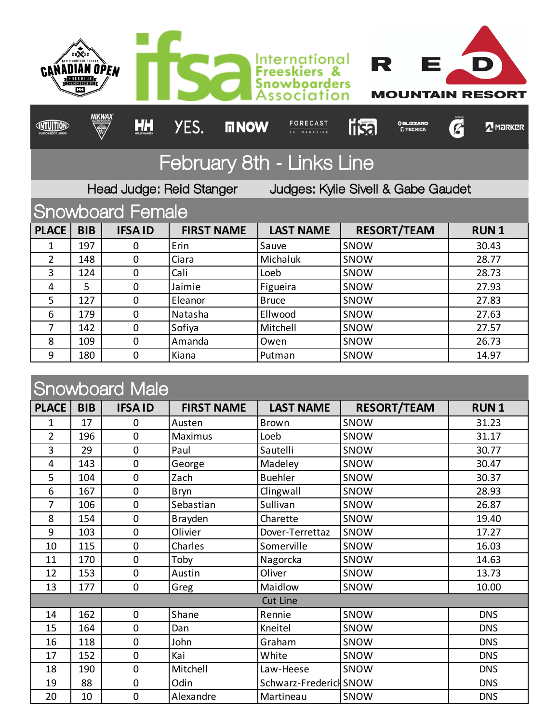

## Snowboard Male

| UI IUVYNUU U TYIUIU |            |               |                   |                        |                    |             |  |
|---------------------|------------|---------------|-------------------|------------------------|--------------------|-------------|--|
| <b>PLACE</b>        | <b>BIB</b> | <b>IFSAID</b> | <b>FIRST NAME</b> | <b>LAST NAME</b>       | <b>RESORT/TEAM</b> | <b>RUN1</b> |  |
| 1                   | 17         | 0             | Austen            | <b>Brown</b>           | SNOW               | 31.23       |  |
| $\overline{2}$      | 196        | $\mathbf 0$   | Maximus           | Loeb                   | SNOW               | 31.17       |  |
| 3                   | 29         | $\mathbf 0$   | Paul              | Sautelli               | SNOW               | 30.77       |  |
| 4                   | 143        | 0             | George            | Madeley                | SNOW               | 30.47       |  |
| 5                   | 104        | 0             | Zach              | <b>Buehler</b>         | SNOW               | 30.37       |  |
| 6                   | 167        | $\mathbf 0$   | Bryn              | Clingwall              | SNOW               | 28.93       |  |
| 7                   | 106        | 0             | Sebastian         | Sullivan               | SNOW               | 26.87       |  |
| 8                   | 154        | 0             | Brayden           | Charette               | SNOW               | 19.40       |  |
| 9                   | 103        | $\mathbf 0$   | Olivier           | Dover-Terrettaz        | SNOW               | 17.27       |  |
| 10                  | 115        | 0             | Charles           | Somerville             | SNOW               | 16.03       |  |
| 11                  | 170        | 0             | Toby              | Nagorcka               | SNOW               | 14.63       |  |
| 12                  | 153        | 0             | Austin            | Oliver                 | SNOW               | 13.73       |  |
| 13                  | 177        | 0             | Greg              | Maidlow                | SNOW               | 10.00       |  |
| <b>Cut Line</b>     |            |               |                   |                        |                    |             |  |
| 14                  | 162        | 0             | Shane             | Rennie                 | SNOW               | <b>DNS</b>  |  |
| 15                  | 164        | 0             | Dan               | Kneitel                | SNOW               | <b>DNS</b>  |  |
| 16                  | 118        | 0             | John              | Graham                 | SNOW               | <b>DNS</b>  |  |
| 17                  | 152        | 0             | Kai               | White                  | SNOW               | <b>DNS</b>  |  |
| 18                  | 190        | 0             | Mitchell          | Law-Heese              | SNOW               | <b>DNS</b>  |  |
| 19                  | 88         | 0             | Odin              | Schwarz-Frederick SNOW |                    | <b>DNS</b>  |  |
| 20                  | 10         | 0             | Alexandre         | Martineau              | SNOW               | <b>DNS</b>  |  |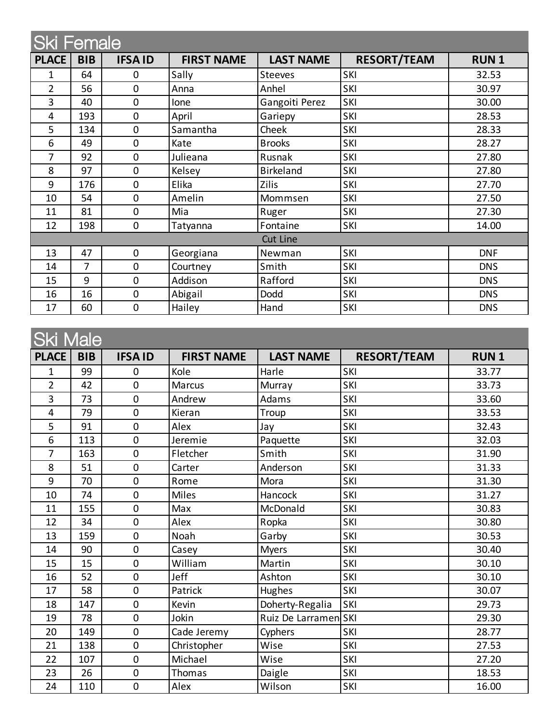| <b>Ski Female</b> |            |                |                   |                  |                    |             |  |
|-------------------|------------|----------------|-------------------|------------------|--------------------|-------------|--|
| <b>PLACE</b>      | <b>BIB</b> | <b>IFSAID</b>  | <b>FIRST NAME</b> | <b>LAST NAME</b> | <b>RESORT/TEAM</b> | <b>RUN1</b> |  |
| 1                 | 64         | 0              | Sally             | <b>Steeves</b>   | SKI                | 32.53       |  |
| $\overline{2}$    | 56         | $\mathbf 0$    | Anna              | Anhel            | SKI                | 30.97       |  |
| 3                 | 40         | $\mathbf 0$    | Ione              | Gangoiti Perez   | SKI                | 30.00       |  |
| 4                 | 193        | $\overline{0}$ | April             | Gariepy          | SKI                | 28.53       |  |
| 5                 | 134        | $\mathbf 0$    | Samantha          | Cheek            | SKI                | 28.33       |  |
| 6                 | 49         | $\mathbf 0$    | Kate              | <b>Brooks</b>    | SKI                | 28.27       |  |
| 7                 | 92         | 0              | Julieana          | Rusnak           | SKI                | 27.80       |  |
| 8                 | 97         | $\mathbf 0$    | Kelsey            | <b>Birkeland</b> | SKI                | 27.80       |  |
| 9                 | 176        | $\overline{0}$ | Elika             | <b>Zilis</b>     | SKI                | 27.70       |  |
| 10                | 54         | $\mathbf 0$    | Amelin            | Mommsen          | SKI                | 27.50       |  |
| 11                | 81         | $\mathbf 0$    | Mia               | Ruger            | SKI                | 27.30       |  |
| 12                | 198        | 0              | Tatyanna          | Fontaine         | SKI                | 14.00       |  |
| <b>Cut Line</b>   |            |                |                   |                  |                    |             |  |
| 13                | 47         | $\mathbf 0$    | Georgiana         | Newman           | SKI                | <b>DNF</b>  |  |
| 14                | 7          | $\mathbf 0$    | Courtney          | Smith            | SKI                | <b>DNS</b>  |  |
| 15                | 9          | $\mathbf 0$    | Addison           | Rafford          | SKI                | <b>DNS</b>  |  |
| 16                | 16         | 0              | Abigail           | Dodd             | SKI                | <b>DNS</b>  |  |
| 17                | 60         | $\mathbf 0$    | Hailey            | Hand             | SKI                | <b>DNS</b>  |  |

| <b>Ski Male</b> |            |                |                   |                      |                    |             |  |
|-----------------|------------|----------------|-------------------|----------------------|--------------------|-------------|--|
| <b>PLACE</b>    | <b>BIB</b> | <b>IFSAID</b>  | <b>FIRST NAME</b> | <b>LAST NAME</b>     | <b>RESORT/TEAM</b> | <b>RUN1</b> |  |
| 1               | 99         | $\mathbf 0$    | Kole              | Harle                | <b>SKI</b>         | 33.77       |  |
| $\overline{2}$  | 42         | $\overline{0}$ | <b>Marcus</b>     | Murray               | <b>SKI</b>         | 33.73       |  |
| 3               | 73         | $\overline{0}$ | Andrew            | Adams                | SKI                | 33.60       |  |
| 4               | 79         | $\mathbf 0$    | Kieran            | Troup                | SKI                | 33.53       |  |
| 5               | 91         | $\overline{0}$ | Alex              | Jay                  | <b>SKI</b>         | 32.43       |  |
| 6               | 113        | $\mathbf 0$    | Jeremie           | Paquette             | <b>SKI</b>         | 32.03       |  |
| $\overline{7}$  | 163        | $\overline{0}$ | Fletcher          | Smith                | SKI                | 31.90       |  |
| 8               | 51         | $\overline{0}$ | Carter            | Anderson             | SKI                | 31.33       |  |
| 9               | 70         | $\mathbf 0$    | Rome              | Mora                 | SKI                | 31.30       |  |
| 10              | 74         | $\overline{0}$ | Miles             | Hancock              | <b>SKI</b>         | 31.27       |  |
| 11              | 155        | $\overline{0}$ | Max               | McDonald             | <b>SKI</b>         | 30.83       |  |
| 12              | 34         | $\mathbf 0$    | Alex              | Ropka                | SKI                | 30.80       |  |
| 13              | 159        | $\mathbf 0$    | Noah              | Garby                | SKI                | 30.53       |  |
| 14              | 90         | $\mathbf 0$    | Casey             | <b>Myers</b>         | SKI                | 30.40       |  |
| 15              | 15         | $\overline{0}$ | William           | Martin               | <b>SKI</b>         | 30.10       |  |
| 16              | 52         | $\overline{0}$ | Jeff              | Ashton               | <b>SKI</b>         | 30.10       |  |
| 17              | 58         | $\mathbf 0$    | Patrick           | Hughes               | SKI                | 30.07       |  |
| 18              | 147        | $\mathbf 0$    | Kevin             | Doherty-Regalia      | SKI                | 29.73       |  |
| 19              | 78         | $\mathbf 0$    | Jokin             | Ruiz De Larramen SKI |                    | 29.30       |  |
| 20              | 149        | $\overline{0}$ | Cade Jeremy       | Cyphers              | SKI                | 28.77       |  |
| 21              | 138        | $\mathbf 0$    | Christopher       | Wise                 | <b>SKI</b>         | 27.53       |  |
| 22              | 107        | $\mathbf 0$    | Michael           | Wise                 | <b>SKI</b>         | 27.20       |  |
| 23              | 26         | $\mathbf 0$    | Thomas            | Daigle               | <b>SKI</b>         | 18.53       |  |
| 24              | 110        | $\mathbf 0$    | Alex              | Wilson               | SKI                | 16.00       |  |